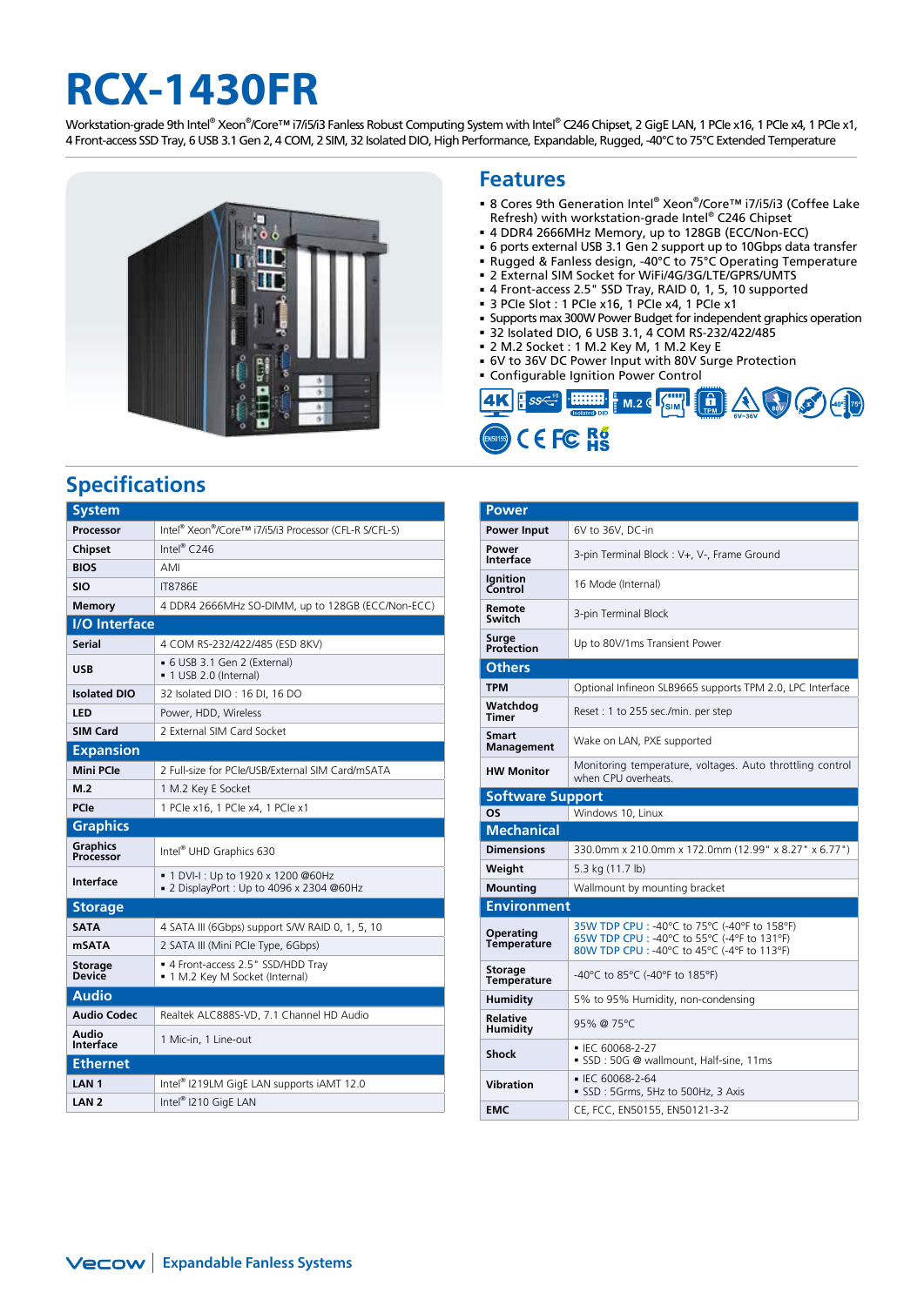# **RCX-1430FR**

Workstation-grade 9th Intel® Xeon®/Core™ i7/i5/i3 Fanless Robust Computing System with Intel® C246 Chipset, 2 GigE LAN, 1 PCIe x16, 1 PCIe x4, 1 PCIe x4, 1 PCIe x1, 4 Front-access SSD Tray, 6 USB 3.1 Gen 2, 4 COM, 2 SIM, 32 Isolated DIO, High Performance, Expandable, Rugged, -40°C to 75°C Extended Temperature



## **Specifications**

| <b>System</b>                |                                                                                 |  |  |  |  |
|------------------------------|---------------------------------------------------------------------------------|--|--|--|--|
| <b>Processor</b>             | Intel® Xeon®/Core™ i7/i5/i3 Processor (CFL-R S/CFL-S)                           |  |  |  |  |
| Chipset                      | Intel® $C$ 246                                                                  |  |  |  |  |
| <b>BIOS</b>                  | AMI                                                                             |  |  |  |  |
| <b>SIO</b>                   | <b>IT8786F</b>                                                                  |  |  |  |  |
| Memory                       | 4 DDR4 2666MHz SO-DIMM, up to 128GB (ECC/Non-ECC)                               |  |  |  |  |
| <b>I/O</b> Interface         |                                                                                 |  |  |  |  |
| Serial                       | 4 COM RS-232/422/485 (ESD 8KV)                                                  |  |  |  |  |
| <b>USB</b>                   | ■ 6 USB 3.1 Gen 2 (External)<br>■ 1 USB 2.0 (Internal)                          |  |  |  |  |
| <b>Isolated DIO</b>          | 32 Isolated DIO: 16 DI, 16 DO                                                   |  |  |  |  |
| LED                          | Power, HDD, Wireless                                                            |  |  |  |  |
| <b>SIM Card</b>              | 2 External SIM Card Socket                                                      |  |  |  |  |
| <b>Expansion</b>             |                                                                                 |  |  |  |  |
| <b>Mini PCle</b>             | 2 Eull-size for PCIe/USB/External SIM Card/mSATA                                |  |  |  |  |
| M.2                          | 1 M.2 Key E Socket                                                              |  |  |  |  |
| PCle                         | 1 PCle x16, 1 PCle x4, 1 PCle x1                                                |  |  |  |  |
| <b>Graphics</b>              |                                                                                 |  |  |  |  |
| <b>Graphics</b><br>Processor | Intel <sup>®</sup> UHD Graphics 630                                             |  |  |  |  |
| <b>Interface</b>             | ■ 1 DVI-I : Up to 1920 x 1200 @60Hz<br>■ 2 DisplayPort: Up to 4096 x 2304 @60Hz |  |  |  |  |
| <b>Storage</b>               |                                                                                 |  |  |  |  |
| <b>SATA</b>                  | 4 SATA III (6Gbps) support S/W RAID 0, 1, 5, 10                                 |  |  |  |  |
| <b>mSATA</b>                 | 2 SATA III (Mini PCIe Type, 6Gbps)                                              |  |  |  |  |
| <b>Storage</b><br>Device     | - 4 Front-access 2.5" SSD/HDD Tray<br>· 1 M.2 Key M Socket (Internal)           |  |  |  |  |
| <b>Audio</b>                 |                                                                                 |  |  |  |  |
| <b>Audio Codec</b>           | Realtek ALC888S-VD, 7.1 Channel HD Audio                                        |  |  |  |  |
| Audio<br>Interface           | 1 Mic-in, 1 Line-out                                                            |  |  |  |  |
| <b>Ethernet</b>              |                                                                                 |  |  |  |  |
| LAN <sub>1</sub>             | Intel <sup>®</sup> I219LM GigE LAN supports iAMT 12.0                           |  |  |  |  |
| LAN <sub>2</sub>             | Intel® I210 GigE LAN                                                            |  |  |  |  |

### **Features**

- 8 Cores 9th Generation Intel® Xeon®/Core™ i7/i5/i3 (Coffee Lake Refresh) with workstation-grade Intel® C246 Chipset
- 4 DDR4 2666MHz Memory, up to 128GB (ECC/Non-ECC)
- 6 ports external USB 3.1 Gen 2 support up to 10Gbps data transfer
- Rugged & Fanless design, -40°C to 75°C Operating Temperature
- 2 External SIM Socket for WiFi/4G/3G/LTE/GPRS/UMTS
- 4 Front-access 2.5" SSD Tray, RAID 0, 1, 5, 10 supported
- 3 PCIe Slot : 1 PCIe x16, 1 PCIe x4, 1 PCIe x1 Supports max 300W Power Budget for independent graphics operation
- 32 Isolated DIO, 6 USB 3.1, 4 COM RS-232/422/485
- 2 M.2 Socket : 1 M.2 Key M, 1 M.2 Key E
- 6V to 36V DC Power Input with 80V Surge Protection
- Configurable Ignition Power Control



| Power                             |                                                                                                                                          |  |  |  |  |
|-----------------------------------|------------------------------------------------------------------------------------------------------------------------------------------|--|--|--|--|
| Power Input                       | 6V to 36V, DC-in                                                                                                                         |  |  |  |  |
| Power<br>Interface                | 3-pin Terminal Block: V+, V-, Frame Ground                                                                                               |  |  |  |  |
| Ignition<br>Control               | 16 Mode (Internal)                                                                                                                       |  |  |  |  |
| Remote<br>Switch                  | 3-pin Terminal Block                                                                                                                     |  |  |  |  |
| Surge<br>Protection               | Up to 80V/1ms Transient Power                                                                                                            |  |  |  |  |
| <b>Others</b>                     |                                                                                                                                          |  |  |  |  |
| <b>TPM</b>                        | Optional Infineon SLB9665 supports TPM 2.0, LPC Interface                                                                                |  |  |  |  |
| Watchdog<br>Timer                 | Reset: 1 to 255 sec./min. per step                                                                                                       |  |  |  |  |
| <b>Smart</b><br><b>Management</b> | Wake on LAN, PXE supported                                                                                                               |  |  |  |  |
| <b>HW Monitor</b>                 | Monitoring temperature, voltages. Auto throttling control<br>when CPU overheats.                                                         |  |  |  |  |
| <b>Software Support</b>           |                                                                                                                                          |  |  |  |  |
| OS                                | Windows 10, Linux                                                                                                                        |  |  |  |  |
| <b>Mechanical</b>                 |                                                                                                                                          |  |  |  |  |
| <b>Dimensions</b>                 | 330.0mm x 210.0mm x 172.0mm (12.99" x 8.27" x 6.77")                                                                                     |  |  |  |  |
| Weight                            | 5.3 kg (11.7 lb)                                                                                                                         |  |  |  |  |
| <b>Mounting</b>                   | Wallmount by mounting bracket                                                                                                            |  |  |  |  |
| <b>Environment</b>                |                                                                                                                                          |  |  |  |  |
| <b>Operating</b><br>Temperature   | 35W TDP CPU: -40°C to 75°C (-40°F to 158°F)<br>65W TDP CPU : -40°C to 55°C (-4°F to 131°F)<br>80W TDP CPU: -40°C to 45°C (-4°F to 113°F) |  |  |  |  |
| Storage<br>Temperature            | -40°C to 85°C (-40°F to 185°F)                                                                                                           |  |  |  |  |
| Humidity                          | 5% to 95% Humidity, non-condensing                                                                                                       |  |  |  |  |
| <b>Relative</b><br>Humidity       | 95% @ 75°C                                                                                                                               |  |  |  |  |
| Shock                             | • IEC 60068-2-27<br>SSD: 50G @ wallmount, Half-sine, 11ms                                                                                |  |  |  |  |
| <b>Vibration</b>                  | $\blacksquare$ IFC 60068-2-64<br>SSD: 5Grms, 5Hz to 500Hz, 3 Axis                                                                        |  |  |  |  |
| <b>EMC</b>                        | CE, FCC, EN50155, EN50121-3-2                                                                                                            |  |  |  |  |